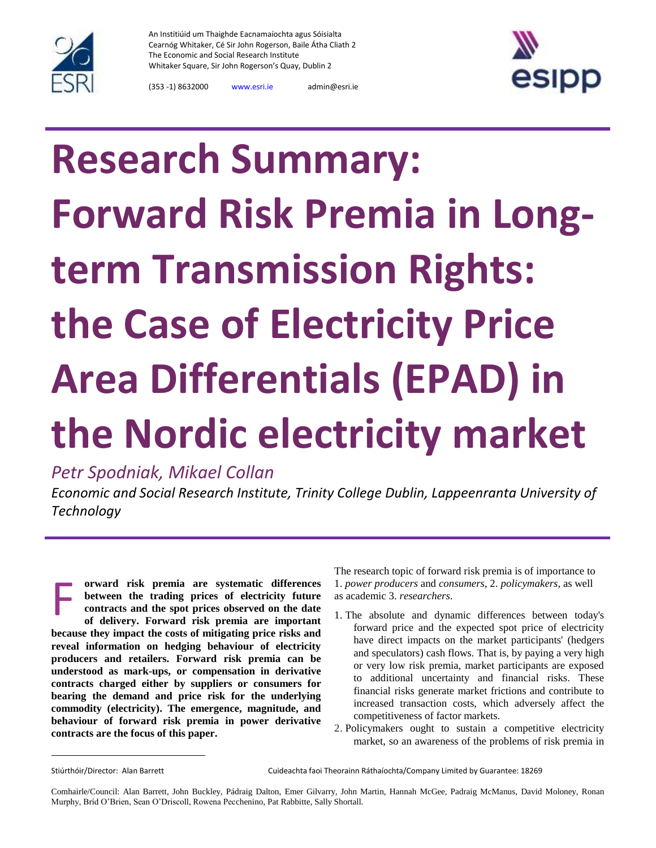

An Institiúid um Thaighde Eacnamaíochta agus Sóisialta Cearnóg Whitaker, Cé Sir John Rogerson, Baile Átha Cliath 2 The Economic and Social Research Institute Whitaker Square, Sir John Rogerson's Quay, Dublin 2



(353 -1) 8632000 [www.esri.ie](http://www.esri.ie/) admin@esri.ie

## **Research Summary: Forward Risk Premia in Longterm Transmission Rights: the Case of Electricity Price Area Differentials (EPAD) in the Nordic electricity market**

*Petr Spodniak, Mikael Collan*

*Economic and Social Research Institute, Trinity College Dublin, Lappeenranta University of Technology*

**orward risk premia are systematic differences between the trading prices of electricity future contracts and the spot prices observed on the date of delivery. Forward risk premia are important because they impact the costs of mitigating price risks and reveal information on hedging behaviour of electricity producers and retailers. Forward risk premia can be understood as mark-ups, or compensation in derivative contracts charged either by suppliers or consumers for bearing the demand and price risk for the underlying commodity (electricity). The emergence, magnitude, and behaviour of forward risk premia in power derivative contracts are the focus of this paper.** F

The research topic of forward risk premia is of importance to 1. *power producers* and *consumers*, 2. *policymakers*, as well as academic 3. *researchers*.

- 1. The absolute and dynamic differences between today's forward price and the expected spot price of electricity have direct impacts on the market participants' (hedgers and speculators) cash flows. That is, by paying a very high or very low risk premia, market participants are exposed to additional uncertainty and financial risks. These financial risks generate market frictions and contribute to increased transaction costs, which adversely affect the competitiveness of factor markets.
- 2. Policymakers ought to sustain a competitive electricity market, so an awareness of the problems of risk premia in

l

Stiúrthóir/Director: Alan Barrett Cuideachta faoi Theorainn Ráthaíochta/Company Limited by Guarantee: 18269

Comhairle/Council: Alan Barrett, John Buckley, Pádraig Dalton, Emer Gilvarry, John Martin, Hannah McGee, Padraig McManus, David Moloney, Ronan Murphy, Bríd O'Brien, Sean O'Driscoll, Rowena Pecchenino, Pat Rabbitte, Sally Shortall.